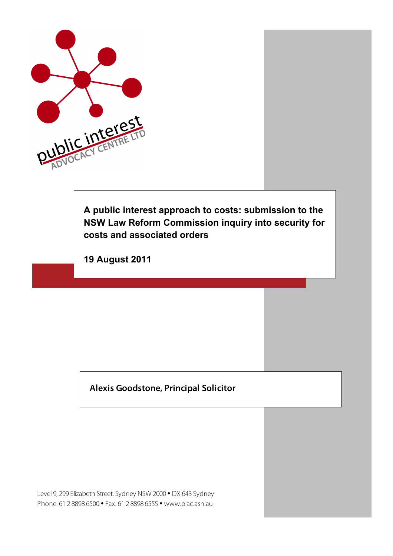

**A public interest approach to costs: submission to the NSW Law Reform Commission inquiry into security for costs and associated orders**

**19 August 2011**

#### **M Alexis Goodstone, Principal Solicitor**

Level 9, 299 Elizabeth Street, Sydney NSW 2000 • DX 643 Sydney Phone: 61 2 8898 6500 • Fax: 61 2 8898 6555 • www.piac.asn.au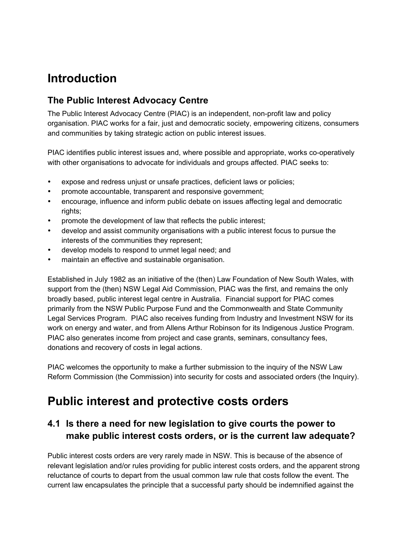# **Introduction**

#### **The Public Interest Advocacy Centre**

The Public Interest Advocacy Centre (PIAC) is an independent, non-profit law and policy organisation. PIAC works for a fair, just and democratic society, empowering citizens, consumers and communities by taking strategic action on public interest issues.

PIAC identifies public interest issues and, where possible and appropriate, works co-operatively with other organisations to advocate for individuals and groups affected. PIAC seeks to:

- expose and redress unjust or unsafe practices, deficient laws or policies;
- promote accountable, transparent and responsive government;
- encourage, influence and inform public debate on issues affecting legal and democratic rights;
- promote the development of law that reflects the public interest;
- develop and assist community organisations with a public interest focus to pursue the interests of the communities they represent;
- develop models to respond to unmet legal need; and
- maintain an effective and sustainable organisation.

Established in July 1982 as an initiative of the (then) Law Foundation of New South Wales, with support from the (then) NSW Legal Aid Commission, PIAC was the first, and remains the only broadly based, public interest legal centre in Australia. Financial support for PIAC comes primarily from the NSW Public Purpose Fund and the Commonwealth and State Community Legal Services Program. PIAC also receives funding from Industry and Investment NSW for its work on energy and water, and from Allens Arthur Robinson for its Indigenous Justice Program. PIAC also generates income from project and case grants, seminars, consultancy fees, donations and recovery of costs in legal actions.

PIAC welcomes the opportunity to make a further submission to the inquiry of the NSW Law Reform Commission (the Commission) into security for costs and associated orders (the Inquiry).

## **Public interest and protective costs orders**

#### **4.1 Is there a need for new legislation to give courts the power to make public interest costs orders, or is the current law adequate?**

Public interest costs orders are very rarely made in NSW. This is because of the absence of relevant legislation and/or rules providing for public interest costs orders, and the apparent strong reluctance of courts to depart from the usual common law rule that costs follow the event. The current law encapsulates the principle that a successful party should be indemnified against the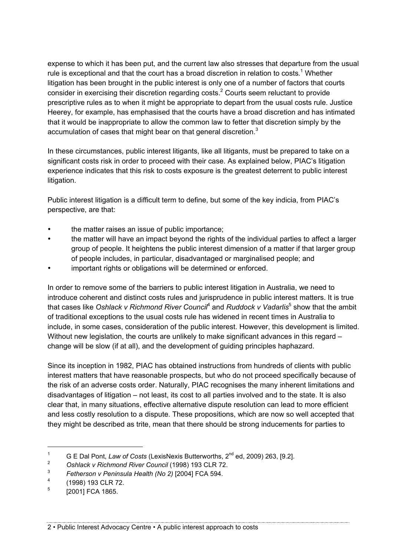expense to which it has been put, and the current law also stresses that departure from the usual rule is exceptional and that the court has a broad discretion in relation to costs.<sup>1</sup> Whether litigation has been brought in the public interest is only one of a number of factors that courts consider in exercising their discretion regarding costs. $2$  Courts seem reluctant to provide prescriptive rules as to when it might be appropriate to depart from the usual costs rule. Justice Heerey, for example, has emphasised that the courts have a broad discretion and has intimated that it would be inappropriate to allow the common law to fetter that discretion simply by the accumulation of cases that might bear on that general discretion.<sup>3</sup>

In these circumstances, public interest litigants, like all litigants, must be prepared to take on a significant costs risk in order to proceed with their case. As explained below, PIAC's litigation experience indicates that this risk to costs exposure is the greatest deterrent to public interest litigation.

Public interest litigation is a difficult term to define, but some of the key indicia, from PIAC's perspective, are that:

- the matter raises an issue of public importance;
- the matter will have an impact beyond the rights of the individual parties to affect a larger group of people. It heightens the public interest dimension of a matter if that larger group of people includes, in particular, disadvantaged or marginalised people; and
- important rights or obligations will be determined or enforced.

In order to remove some of the barriers to public interest litigation in Australia, we need to introduce coherent and distinct costs rules and jurisprudence in public interest matters. It is true that cases like Os*hlack v Richmond River Council<sup>4</sup>* and *Ruddock v Vadarlis<sup>5</sup> show that the ambit* of traditional exceptions to the usual costs rule has widened in recent times in Australia to include, in some cases, consideration of the public interest. However, this development is limited. Without new legislation, the courts are unlikely to make significant advances in this regard – change will be slow (if at all), and the development of guiding principles haphazard.

Since its inception in 1982, PIAC has obtained instructions from hundreds of clients with public interest matters that have reasonable prospects, but who do not proceed specifically because of the risk of an adverse costs order. Naturally, PIAC recognises the many inherent limitations and disadvantages of litigation – not least, its cost to all parties involved and to the state. It is also clear that, in many situations, effective alternative dispute resolution can lead to more efficient and less costly resolution to a dispute. These propositions, which are now so well accepted that they might be described as trite, mean that there should be strong inducements for parties to

 $\overline{a}$ 

2 • Public Interest Advocacy Centre • A public interest approach to costs

<sup>&</sup>lt;sup>1</sup> G E Dal Pont, *Law of Costs* (LexisNexis Butterworths, 2<sup>nd</sup> ed, 2009) 263, [9.2].

<sup>2</sup> *Oshlack v Richmond River Council* (1998) 193 CLR 72.

 $3$  *Fetherson v Peninsula Health (No 2)* [2004] FCA 594.

 $^{4}$  (1998) 193 CLR 72.

<sup>[2001]</sup> FCA 1865.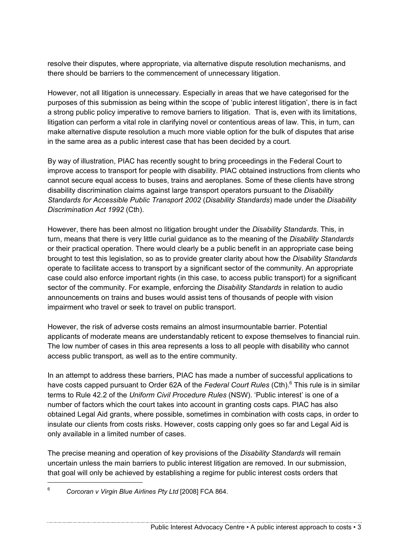resolve their disputes, where appropriate, via alternative dispute resolution mechanisms, and there should be barriers to the commencement of unnecessary litigation.

However, not all litigation is unnecessary. Especially in areas that we have categorised for the purposes of this submission as being within the scope of 'public interest litigation', there is in fact a strong public policy imperative to remove barriers to litigation. That is, even with its limitations, litigation can perform a vital role in clarifying novel or contentious areas of law. This, in turn, can make alternative dispute resolution a much more viable option for the bulk of disputes that arise in the same area as a public interest case that has been decided by a court.

By way of illustration, PIAC has recently sought to bring proceedings in the Federal Court to improve access to transport for people with disability. PIAC obtained instructions from clients who cannot secure equal access to buses, trains and aeroplanes. Some of these clients have strong disability discrimination claims against large transport operators pursuant to the *Disability Standards for Accessible Public Transport 2002* (*Disability Standards*) made under the *Disability Discrimination Act 1992* (Cth).

However, there has been almost no litigation brought under the *Disability Standards*. This, in turn, means that there is very little curial guidance as to the meaning of the *Disability Standards*  or their practical operation. There would clearly be a public benefit in an appropriate case being brought to test this legislation, so as to provide greater clarity about how the *Disability Standards*  operate to facilitate access to transport by a significant sector of the community. An appropriate case could also enforce important rights (in this case, to access public transport) for a significant sector of the community. For example, enforcing the *Disability Standards* in relation to audio announcements on trains and buses would assist tens of thousands of people with vision impairment who travel or seek to travel on public transport.

However, the risk of adverse costs remains an almost insurmountable barrier. Potential applicants of moderate means are understandably reticent to expose themselves to financial ruin. The low number of cases in this area represents a loss to all people with disability who cannot access public transport, as well as to the entire community.

In an attempt to address these barriers, PIAC has made a number of successful applications to have costs capped pursuant to Order 62A of the *Federal Court Rules* (Cth). 6 This rule is in similar terms to Rule 42.2 of the *Uniform Civil Procedure Rules* (NSW). 'Public interest' is one of a number of factors which the court takes into account in granting costs caps. PIAC has also obtained Legal Aid grants, where possible, sometimes in combination with costs caps, in order to insulate our clients from costs risks. However, costs capping only goes so far and Legal Aid is only available in a limited number of cases.

The precise meaning and operation of key provisions of the *Disability Standards* will remain uncertain unless the main barriers to public interest litigation are removed. In our submission, that goal will only be achieved by establishing a regime for public interest costs orders that

<sup>6</sup> *Corcoran v Virgin Blue Airlines Pty Ltd* [2008] FCA 864.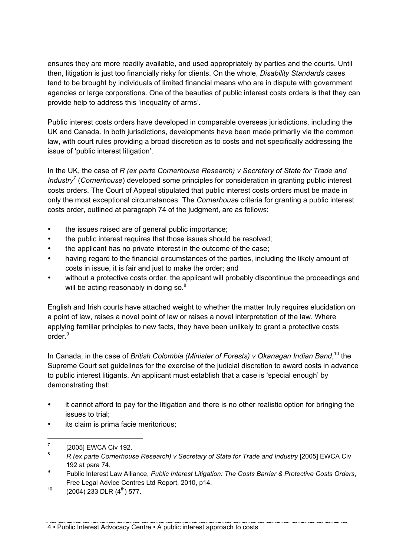ensures they are more readily available, and used appropriately by parties and the courts. Until then, litigation is just too financially risky for clients. On the whole, *Disability Standards* cases tend to be brought by individuals of limited financial means who are in dispute with government agencies or large corporations. One of the beauties of public interest costs orders is that they can provide help to address this 'inequality of arms'.

Public interest costs orders have developed in comparable overseas jurisdictions, including the UK and Canada. In both jurisdictions, developments have been made primarily via the common law, with court rules providing a broad discretion as to costs and not specifically addressing the issue of 'public interest litigation'.

In the UK, the case of *R (ex parte Cornerhouse Research) v Secretary of State for Trade and Industry7* (*Cornerhouse*) developed some principles for consideration in granting public interest costs orders. The Court of Appeal stipulated that public interest costs orders must be made in only the most exceptional circumstances. The *Cornerhouse* criteria for granting a public interest costs order, outlined at paragraph 74 of the judgment, are as follows:

- the issues raised are of general public importance;
- the public interest requires that those issues should be resolved;
- the applicant has no private interest in the outcome of the case;
- having regard to the financial circumstances of the parties, including the likely amount of costs in issue, it is fair and just to make the order; and
- without a protective costs order, the applicant will probably discontinue the proceedings and will be acting reasonably in doing so. $^8$

English and Irish courts have attached weight to whether the matter truly requires elucidation on a point of law, raises a novel point of law or raises a novel interpretation of the law. Where applying familiar principles to new facts, they have been unlikely to grant a protective costs order.<sup>9</sup>

In Canada, in the case of *British Colombia (Minister of Forests) v Okanagan Indian Band*, <sup>10</sup> the Supreme Court set guidelines for the exercise of the judicial discretion to award costs in advance to public interest litigants. An applicant must establish that a case is 'special enough' by demonstrating that:

- it cannot afford to pay for the litigation and there is no other realistic option for bringing the issues to trial;
- its claim is prima facie meritorious;

 $\overline{a}$ 

4 • Public Interest Advocacy Centre • A public interest approach to costs

 $<sup>7</sup>$  [2005] EWCA Civ 192.</sup>

<sup>&</sup>lt;sup>8</sup> R (ex parte Cornerhouse Research) v Secretary of State for Trade and Industry [2005] EWCA Civ 192 at para 74.

<sup>9</sup> Public Interest Law Alliance, *Public Interest Litigation: The Costs Barrier & Protective Costs Orders*, Free Legal Advice Centres Ltd Report, 2010, p14.

 $10$  (2004) 233 DLR (4<sup>th</sup>) 577.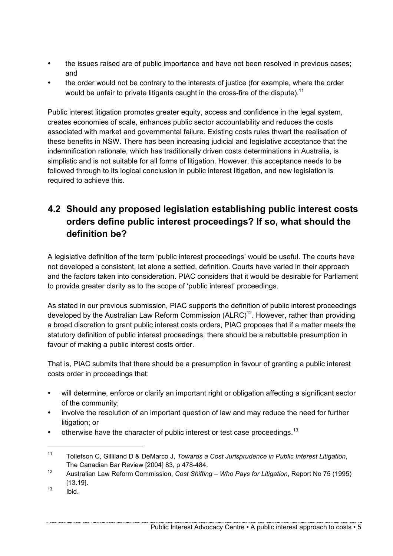- the issues raised are of public importance and have not been resolved in previous cases; and
- the order would not be contrary to the interests of justice (for example, where the order would be unfair to private litigants caught in the cross-fire of the dispute).<sup>11</sup>

Public interest litigation promotes greater equity, access and confidence in the legal system, creates economies of scale, enhances public sector accountability and reduces the costs associated with market and governmental failure. Existing costs rules thwart the realisation of these benefits in NSW. There has been increasing judicial and legislative acceptance that the indemnification rationale, which has traditionally driven costs determinations in Australia, is simplistic and is not suitable for all forms of litigation. However, this acceptance needs to be followed through to its logical conclusion in public interest litigation, and new legislation is required to achieve this.

#### **4.2 Should any proposed legislation establishing public interest costs orders define public interest proceedings? If so, what should the definition be?**

A legislative definition of the term 'public interest proceedings' would be useful. The courts have not developed a consistent, let alone a settled, definition. Courts have varied in their approach and the factors taken into consideration. PIAC considers that it would be desirable for Parliament to provide greater clarity as to the scope of 'public interest' proceedings.

As stated in our previous submission, PIAC supports the definition of public interest proceedings developed by the Australian Law Reform Commission (ALRC)<sup>12</sup>. However, rather than providing a broad discretion to grant public interest costs orders, PIAC proposes that if a matter meets the statutory definition of public interest proceedings, there should be a rebuttable presumption in favour of making a public interest costs order.

That is, PIAC submits that there should be a presumption in favour of granting a public interest costs order in proceedings that:

- will determine, enforce or clarify an important right or obligation affecting a significant sector of the community;
- involve the resolution of an important question of law and may reduce the need for further litigation; or
- otherwise have the character of public interest or test case proceedings.<sup>13</sup>

<sup>11</sup> Tollefson C, Gilliland D & DeMarco J, *Towards a Cost Jurisprudence in Public Interest Litigation*, The Canadian Bar Review [2004] 83, p 478-484.

<sup>12</sup> Australian Law Reform Commission, *Cost Shifting – Who Pays for Litigation*, Report No 75 (1995) [13.19].

 $13$   $ibid.$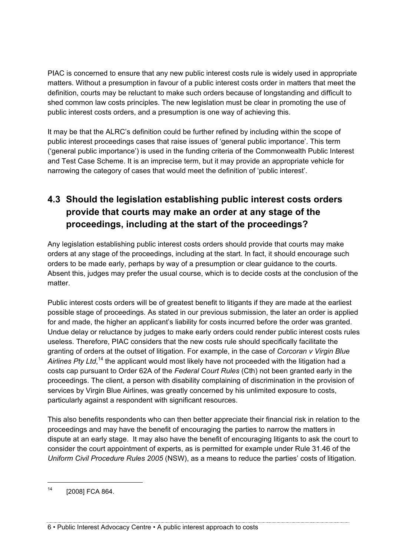PIAC is concerned to ensure that any new public interest costs rule is widely used in appropriate matters. Without a presumption in favour of a public interest costs order in matters that meet the definition, courts may be reluctant to make such orders because of longstanding and difficult to shed common law costs principles. The new legislation must be clear in promoting the use of public interest costs orders, and a presumption is one way of achieving this.

It may be that the ALRC's definition could be further refined by including within the scope of public interest proceedings cases that raise issues of 'general public importance'. This term ('general public importance') is used in the funding criteria of the Commonwealth Public Interest and Test Case Scheme. It is an imprecise term, but it may provide an appropriate vehicle for narrowing the category of cases that would meet the definition of 'public interest'.

#### **4.3 Should the legislation establishing public interest costs orders provide that courts may make an order at any stage of the proceedings, including at the start of the proceedings?**

Any legislation establishing public interest costs orders should provide that courts may make orders at any stage of the proceedings, including at the start. In fact, it should encourage such orders to be made early, perhaps by way of a presumption or clear guidance to the courts. Absent this, judges may prefer the usual course, which is to decide costs at the conclusion of the matter.

Public interest costs orders will be of greatest benefit to litigants if they are made at the earliest possible stage of proceedings. As stated in our previous submission, the later an order is applied for and made, the higher an applicant's liability for costs incurred before the order was granted. Undue delay or reluctance by judges to make early orders could render public interest costs rules useless. Therefore, PIAC considers that the new costs rule should specifically facilitate the granting of orders at the outset of litigation. For example, in the case of *Corcoran v Virgin Blue*  Airlines Pty Ltd,<sup>14</sup> the applicant would most likely have not proceeded with the litigation had a costs cap pursuant to Order 62A of the *Federal Court Rules* (Cth) not been granted early in the proceedings. The client, a person with disability complaining of discrimination in the provision of services by Virgin Blue Airlines, was greatly concerned by his unlimited exposure to costs, particularly against a respondent with significant resources.

This also benefits respondents who can then better appreciate their financial risk in relation to the proceedings and may have the benefit of encouraging the parties to narrow the matters in dispute at an early stage. It may also have the benefit of encouraging litigants to ask the court to consider the court appointment of experts, as is permitted for example under Rule 31.46 of the *Uniform Civil Procedure Rules 2005* (NSW), as a means to reduce the parties' costs of litigation.

 $\overline{a}$ 

6 • Public Interest Advocacy Centre • A public interest approach to costs

<sup>14</sup> [2008] FCA 864.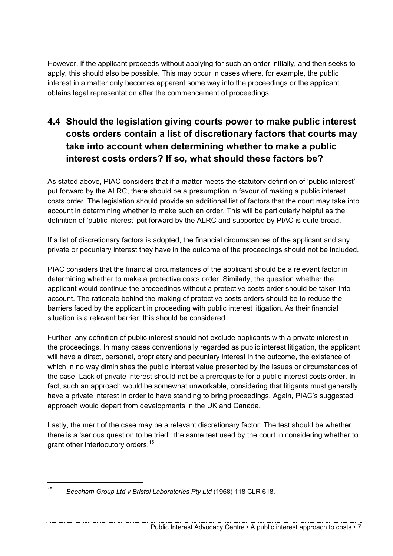However, if the applicant proceeds without applying for such an order initially, and then seeks to apply, this should also be possible. This may occur in cases where, for example, the public interest in a matter only becomes apparent some way into the proceedings or the applicant obtains legal representation after the commencement of proceedings.

### **4.4 Should the legislation giving courts power to make public interest costs orders contain a list of discretionary factors that courts may take into account when determining whether to make a public interest costs orders? If so, what should these factors be?**

As stated above, PIAC considers that if a matter meets the statutory definition of 'public interest' put forward by the ALRC, there should be a presumption in favour of making a public interest costs order. The legislation should provide an additional list of factors that the court may take into account in determining whether to make such an order. This will be particularly helpful as the definition of 'public interest' put forward by the ALRC and supported by PIAC is quite broad.

If a list of discretionary factors is adopted, the financial circumstances of the applicant and any private or pecuniary interest they have in the outcome of the proceedings should not be included.

PIAC considers that the financial circumstances of the applicant should be a relevant factor in determining whether to make a protective costs order. Similarly, the question whether the applicant would continue the proceedings without a protective costs order should be taken into account. The rationale behind the making of protective costs orders should be to reduce the barriers faced by the applicant in proceeding with public interest litigation. As their financial situation is a relevant barrier, this should be considered.

Further, any definition of public interest should not exclude applicants with a private interest in the proceedings. In many cases conventionally regarded as public interest litigation, the applicant will have a direct, personal, proprietary and pecuniary interest in the outcome, the existence of which in no way diminishes the public interest value presented by the issues or circumstances of the case. Lack of private interest should not be a prerequisite for a public interest costs order. In fact, such an approach would be somewhat unworkable, considering that litigants must generally have a private interest in order to have standing to bring proceedings. Again, PIAC's suggested approach would depart from developments in the UK and Canada.

Lastly, the merit of the case may be a relevant discretionary factor. The test should be whether there is a 'serious question to be tried', the same test used by the court in considering whether to grant other interlocutory orders.<sup>15</sup>

<sup>15</sup> *Beecham Group Ltd v Bristol Laboratories Pty Ltd* (1968) 118 CLR 618.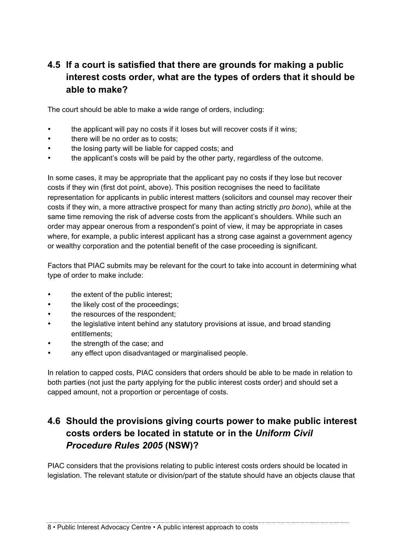#### **4.5 If a court is satisfied that there are grounds for making a public interest costs order, what are the types of orders that it should be able to make?**

The court should be able to make a wide range of orders, including:

- the applicant will pay no costs if it loses but will recover costs if it wins;
- there will be no order as to costs;
- the losing party will be liable for capped costs; and
- the applicant's costs will be paid by the other party, regardless of the outcome.

In some cases, it may be appropriate that the applicant pay no costs if they lose but recover costs if they win (first dot point, above). This position recognises the need to facilitate representation for applicants in public interest matters (solicitors and counsel may recover their costs if they win, a more attractive prospect for many than acting strictly *pro bono*), while at the same time removing the risk of adverse costs from the applicant's shoulders. While such an order may appear onerous from a respondent's point of view, it may be appropriate in cases where, for example, a public interest applicant has a strong case against a government agency or wealthy corporation and the potential benefit of the case proceeding is significant.

Factors that PIAC submits may be relevant for the court to take into account in determining what type of order to make include:

- the extent of the public interest;
- the likely cost of the proceedings;
- the resources of the respondent;
- the legislative intent behind any statutory provisions at issue, and broad standing entitlements;
- the strength of the case; and
- any effect upon disadvantaged or marginalised people.

In relation to capped costs, PIAC considers that orders should be able to be made in relation to both parties (not just the party applying for the public interest costs order) and should set a capped amount, not a proportion or percentage of costs.

#### **4.6 Should the provisions giving courts power to make public interest costs orders be located in statute or in the** *Uniform Civil Procedure Rules 2005* **(NSW)?**

PIAC considers that the provisions relating to public interest costs orders should be located in legislation. The relevant statute or division/part of the statute should have an objects clause that